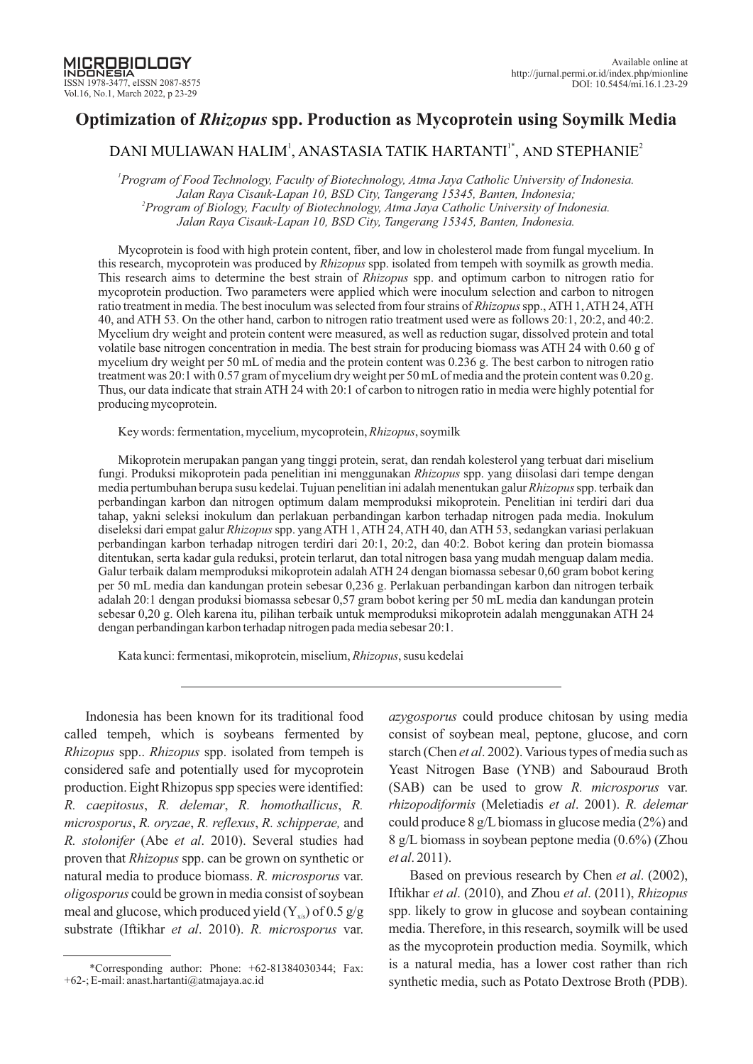# **Optimization of** *Rhizopus* **spp. Production as Mycoprotein using Soymilk Media**

# DANI MULIAWAN HALIM', ANASTASIA TATIK HARTANTI' $^{\ast}$ , and STEPHANIE $^{\circ}$

*1 Program of Food Technology, Faculty of Biotechnology, Atma Jaya Catholic University of Indonesia. Jalan Raya Cisauk-Lapan 10, BSD City, Tangerang 15345, Banten, Indonesia; 2 Program of Biology, Faculty of Biotechnology, Atma Jaya Catholic University of Indonesia. Jalan Raya Cisauk-Lapan 10, BSD City, Tangerang 15345, Banten, Indonesia.*

Mycoprotein is food with high protein content, fiber, and low in cholesterol made from fungal mycelium. In this research, mycoprotein was produced by *Rhizopus* spp. isolated from tempeh with soymilk as growth media. This research aims to determine the best strain of *Rhizopus* spp. and optimum carbon to nitrogen ratio for mycoprotein production. Two parameters were applied which were inoculum selection and carbon to nitrogen ratio treatment in media. The best inoculum was selected from four strains of *Rhizopus* spp., ATH 1, ATH 24, ATH 40, and ATH 53. On the other hand, carbon to nitrogen ratio treatment used were as follows 20:1, 20:2, and 40:2. Mycelium dry weight and protein content were measured, as well as reduction sugar, dissolved protein and total volatile base nitrogen concentration in media. The best strain for producing biomass was ATH  $24$  with 0.60 g of mycelium dry weight per 50 mL of media and the protein content was 0.236 g. The best carbon to nitrogen ratio treatment was 20:1 with 0.57 gram of mycelium dry weight per 50 mL of media and the protein content was 0.20 g. Thus, our data indicate that strain ATH 24 with 20:1 of carbon to nitrogen ratio in media were highly potential for producing mycoprotein.

Key words: fermentation, mycelium, mycoprotein, *Rhizopus*, soymilk

Mikoprotein merupakan pangan yang tinggi protein, serat, dan rendah kolesterol yang terbuat dari miselium fungi. Produksi mikoprotein pada penelitian ini menggunakan *Rhizopus* spp. yang diisolasi dari tempe dengan media pertumbuhan berupa susu kedelai. Tujuan penelitian ini adalah menentukan galur *Rhizopus* spp. terbaik dan perbandingan karbon dan nitrogen optimum dalam memproduksi mikoprotein. Penelitian ini terdiri dari dua tahap, yakni seleksi inokulum dan perlakuan perbandingan karbon terhadap nitrogen pada media. Inokulum diseleksi dari empat galur *Rhizopus* spp. yang ATH 1, ATH 24, ATH 40, dan ATH 53, sedangkan variasi perlakuan perbandingan karbon terhadap nitrogen terdiri dari 20:1, 20:2, dan 40:2. Bobot kering dan protein biomassa ditentukan, serta kadar gula reduksi, protein terlarut, dan total nitrogen basa yang mudah menguap dalam media. Galur terbaik dalam memproduksi mikoprotein adalah ATH 24 dengan biomassa sebesar 0,60 gram bobot kering per 50 mL media dan kandungan protein sebesar 0,236 g. Perlakuan perbandingan karbon dan nitrogen terbaik adalah 20:1 dengan produksi biomassa sebesar 0,57 gram bobot kering per 50 mL media dan kandungan protein sebesar 0,20 g. Oleh karena itu, pilihan terbaik untuk memproduksi mikoprotein adalah menggunakan ATH 24 dengan perbandingan karbon terhadap nitrogen pada media sebesar 20:1.

Kata kunci: fermentasi, mikoprotein, miselium, *Rhizopus*, susu kedelai

Indonesia has been known for its traditional food called tempeh, which is soybeans fermented by *Rhizopus* spp.. *Rhizopus* spp. isolated from tempeh is considered safe and potentially used for mycoprotein production. Eight Rhizopus spp species were identified: *R. caepitosus, R. delemar, R. homothallicus, R. microsporus, R. oryzae, R. reflexus, R. schipperae, and R. stolonifer* (Abe *et al.* 2010). Several studies had proven that *Rhizopus* spp. can be grown on synthetic or natural media to produce biomass. R. *microsporus* var. *oligosporus* could be grown in media consist of soybean meal and glucose, which produced yield  $(Y_{\rm vis})$  of 0.5 g/g substrate (Iftikhar et al. 2010). R. microsporus var.

*azygosporus* could produce chitosan by using media consist of soybean meal, peptone, glucose, and corn starch (Chen et al. 2002). Various types of media such as Yeast Nitrogen Base (YNB) and Sabouraud Broth (SAB) can be used to grow R. *microsporus* var. *rhizopodiformis* (Meletiadis et al. 2001). R. delemar could produce 8 g/L biomass in glucose media (2%) and 8 g/L biomass in soybean peptone media (0.6%) (Zhou *et al*. 2011).

Based on previous research by Chen et al. (2002), Iftikhar et al. (2010), and Zhou et al. (2011), *Rhizopus* spp. likely to grow in glucose and soybean containing media. Therefore, in this research, soymilk will be used as the mycoprotein production media. Soymilk, which is a natural media, has a lower cost rather than rich synthetic media, such as Potato Dextrose Broth (PDB).

<sup>\*</sup>Corresponding author: Phone:  $+62-81384030344$ ; Fax: +62-; E-mail: anast.hartanti@atmajaya.ac.id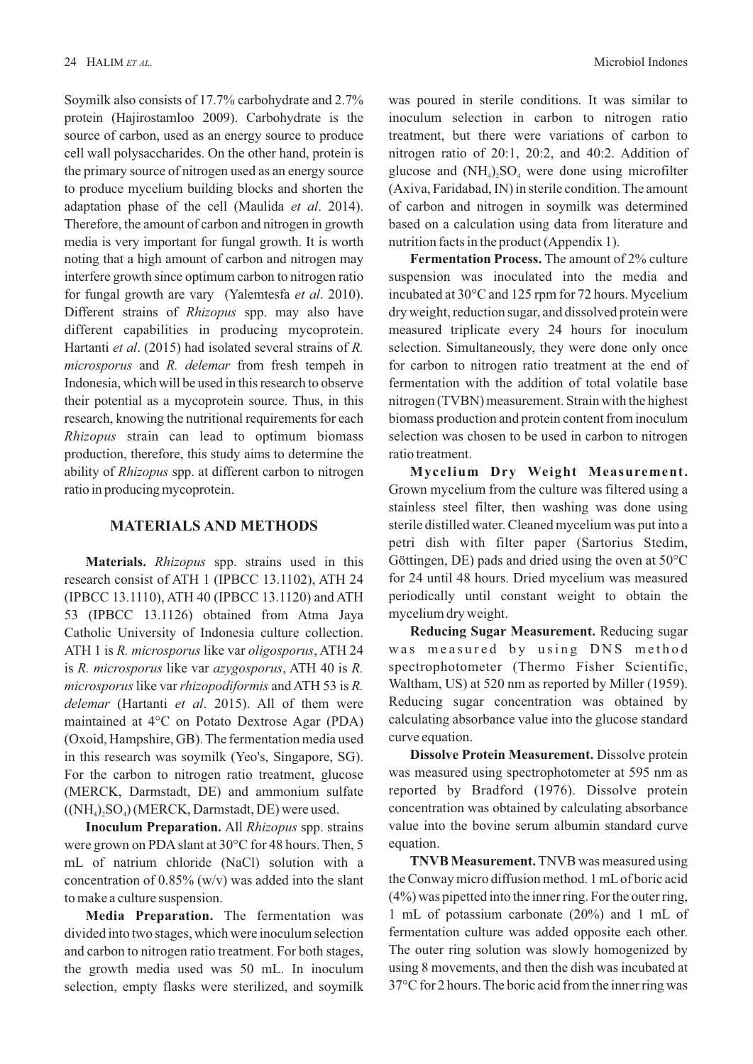Soymilk also consists of 17.7% carbohydrate and 2.7% protein (Hajirostamloo 2009). Carbohydrate is the source of carbon, used as an energy source to produce cell wall polysaccharides. On the other hand, protein is the primary source of nitrogen used as an energy source to produce mycelium building blocks and shorten the adaptation phase of the cell (Maulida *et al.* 2014). Therefore, the amount of carbon and nitrogen in growth media is very important for fungal growth. It is worth noting that a high amount of carbon and nitrogen may interfere growth since optimum carbon to nitrogen ratio for fungal growth are vary (Yalemtesfa et al. 2010). Different strains of *Rhizopus* spp. may also have different capabilities in producing mycoprotein. Hartanti et al. (2015) had isolated several strains of *R*. *microsporus* and *R. delemar* from fresh tempeh in Indonesia, which will be used in this research to observe their potential as a mycoprotein source. Thus, in this research, knowing the nutritional requirements for each *Rhizopus* strain can lead to optimum biomass production, therefore, this study aims to determine the ability of *Rhizopus* spp. at different carbon to nitrogen ratio in producing mycoprotein.

### **MATERIALS AND METHODS**

**Materials.** *Rhizopus* spp. strains used in this research consist of ATH 1 (IPBCC 13.1102), ATH 24 (IPBCC 13.1110), ATH 40 (IPBCC 13.1120) and ATH 53 (IPBCC 13.1126) obtained from Atma Jaya Catholic University of Indonesia culture collection. ATH 1 is *R. microsporus* like var *oligosporus*, ATH 24 is *R. microsporus* like var *azygosporus*, ATH 40 is *R. microsporus* like var *rhizopodiformis* and ATH 53 is R. *delemar* (Hartanti et al. 2015). All of them were maintained at 4°C on Potato Dextrose Agar (PDA) (Oxoid, Hampshire, GB). The fermentation media used in this research was soymilk (Yeo's, Singapore, SG). For the carbon to nitrogen ratio treatment, glucose (MERCK, Darmstadt, DE) and ammonium sulfate  $((NH<sub>4</sub>), SO<sub>4</sub>)(MERCK, Darmstadt, DE)$  were used.

**Inoculum Preparation.** All *Rhizopus* spp. strains were grown on PDAslant at 30°C for 48 hours. Then, 5 mL of natrium chloride (NaCl) solution with a concentration of  $0.85\%$  (w/v) was added into the slant to make a culture suspension.

**Media Preparation.** The fermentation was divided into two stages, which were inoculum selection and carbon to nitrogen ratio treatment. For both stages, the growth media used was 50 mL. In inoculum selection, empty flasks were sterilized, and soymilk was poured in sterile conditions. It was similar to inoculum selection in carbon to nitrogen ratio treatment, but there were variations of carbon to nitrogen ratio of 20:1, 20:2, and 40:2. Addition of glucose and  $(NH_4)$ <sub>2</sub>SO<sub>4</sub> were done using microfilter (Axiva, Faridabad, IN) in sterile condition. The amount of carbon and nitrogen in soymilk was determined based on a calculation using data from literature and nutrition facts in the product (Appendix 1).

**Fermentation Process.** The amount of 2% culture suspension was inoculated into the media and incubated at  $30^{\circ}$ C and 125 rpm for 72 hours. Mycelium dry weight, reduction sugar, and dissolved protein were measured triplicate every 24 hours for inoculum selection. Simultaneously, they were done only once for carbon to nitrogen ratio treatment at the end of fermentation with the addition of total volatile base nitrogen (TVBN) measurement. Strain with the highest biomass production and protein content from inoculum selection was chosen to be used in carbon to nitrogen ratio treatment.

**Mycelium Dry Weight Measurement.** Grown mycelium from the culture was filtered using a stainless steel filter, then washing was done using sterile distilled water. Cleaned mycelium was put into a petri dish with filter paper (Sartorius Stedim, Göttingen, DE) pads and dried using the oven at  $50^{\circ}$ C for 24 until 48 hours. Dried mycelium was measured periodically until constant weight to obtain the mycelium dry weight.

**Reducing Sugar Measurement.** Reducing sugar was measured by using DNS method spectrophotometer (Thermo Fisher Scientific, Waltham, US) at 520 nm as reported by Miller (1959). Reducing sugar concentration was obtained by calculating absorbance value into the glucose standard curve equation.

**Dissolve Protein Measurement.** Dissolve protein was measured using spectrophotometer at 595 nm as reported by Bradford (1976). Dissolve protein concentration was obtained by calculating absorbance value into the bovine serum albumin standard curve equation.

**TNVB Measurement.** TNVB was measured using the Conway micro diffusion method. 1 mLof boric acid  $(4\%)$  was pipetted into the inner ring. For the outer ring, 1 mL of potassium carbonate (20%) and 1 mL of fermentation culture was added opposite each other. The outer ring solution was slowly homogenized by using 8 movements, and then the dish was incubated at 37°C for 2 hours. The boric acid from the inner ring was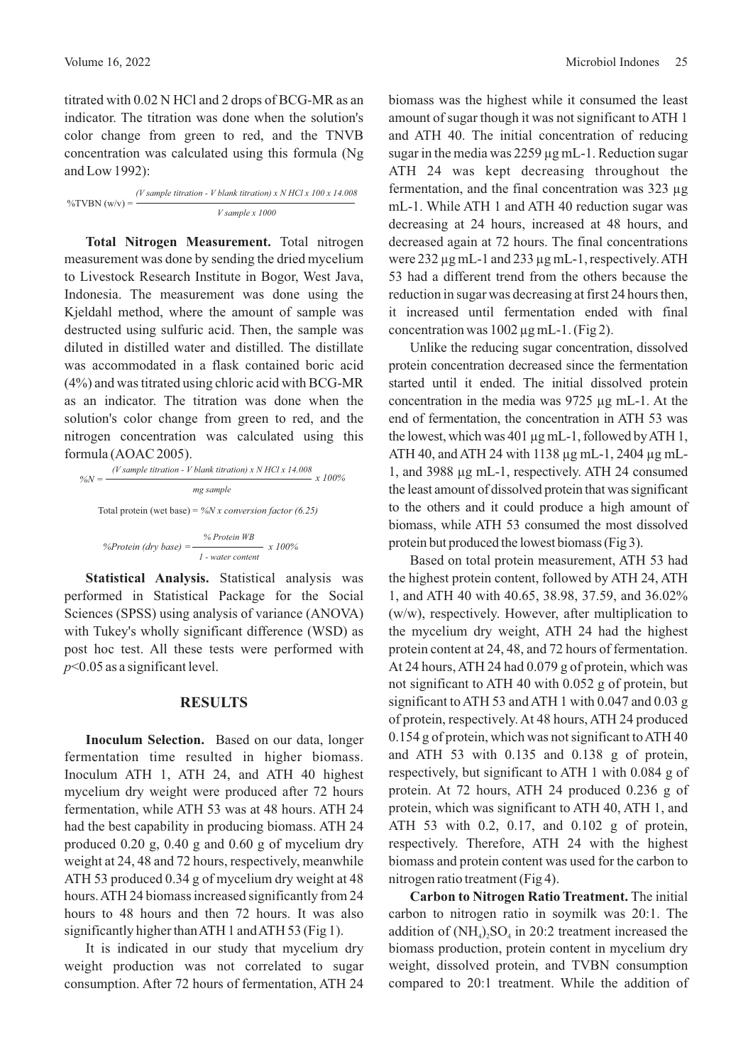titrated with 0.02 N HCl and 2 drops of BCG-MR as an indicator. The titration was done when the solution's color change from green to red, and the TNVB concentration was calculated using this formula (Ng and Low 1992):

 $\%$ TVBN  $(w/v) =$ *(V sample titration - V blank titration) x N HCl x 100 x 14.008 V sample x 1000*

**Total Nitrogen Measurement.** Total nitrogen measurement was done by sending the dried mycelium to Livestock Research Institute in Bogor, West Java, Indonesia. The measurement was done using the Kjeldahl method, where the amount of sample was destructed using sulfuric acid. Then, the sample was diluted in distilled water and distilled. The distillate was accommodated in a flask contained boric acid (4%) and was titrated using chloric acid with BCG-MR as an indicator. The titration was done when the solution's color change from green to red, and the nitrogen concentration was calculated using this formula (AOAC 2005).

$$
\%N = \frac{(V \text{ sample titration} - V \text{ blank titration}) \times N \text{ HCl} \times 14.008}{mg \text{ sample}} \times 100\%
$$
  
Total protein (wet base) = %N x conversion factor (6.25)  
%Protein (dry base) =  $\frac{\% \text{Protein WB}}{1 - \text{water content}} \times 100\%$ 

**Statistical Analysis.** Statistical analysis was performed in Statistical Package for the Social Sciences (SPSS) using analysis of variance (ANOVA) with Tukey's wholly significant difference (WSD) as post hoc test. All these tests were performed with *p*<0.05 as a significant level.

#### **RESULTS**

**Inoculum Selection.** Based on our data, longer fermentation time resulted in higher biomass. Inoculum ATH 1, ATH 24, and ATH 40 highest mycelium dry weight were produced after 72 hours fermentation, while ATH 53 was at 48 hours. ATH 24 had the best capability in producing biomass. ATH 24 produced  $0.20$  g,  $0.40$  g and  $0.60$  g of mycelium dry weight at 24, 48 and 72 hours, respectively, meanwhile ATH 53 produced 0.34 g of mycelium dry weight at 48 hours.ATH 24 biomass increased significantly from 24 hours to 48 hours and then 72 hours. It was also significantly higher thanATH 1 andATH 53 (Fig 1).

It is indicated in our study that mycelium dry weight production was not correlated to sugar consumption. After 72 hours of fermentation, ATH 24 biomass was the highest while it consumed the least amount of sugar though it was not significant to ATH 1 and ATH 40. The initial concentration of reducing sugar in the media was  $2259 \mu g$  mL-1. Reduction sugar ATH 24 was kept decreasing throughout the fermentation, and the final concentration was 323 µg mL-1. While ATH 1 and ATH 40 reduction sugar was decreasing at 24 hours, increased at 48 hours, and decreased again at 72 hours. The final concentrations were 232 µg mL-1 and 233 µg mL-1, respectively.ATH 53 had a different trend from the others because the reduction in sugar was decreasing at first 24 hours then, it increased until fermentation ended with final concentration was  $1002 \mu g$  mL-1. (Fig 2).

Unlike the reducing sugar concentration, dissolved protein concentration decreased since the fermentation started until it ended. The initial dissolved protein concentration in the media was 9725 µg mL-1. At the end of fermentation, the concentration in ATH 53 was the lowest, which was 401 µg mL-1, followed byATH 1, ATH 40, and ATH 24 with 1138 µg mL-1, 2404 µg mL-1, and 3988 µg mL-1, respectively. ATH 24 consumed the least amount of dissolved protein that was significant to the others and it could produce a high amount of biomass, while ATH 53 consumed the most dissolved protein but produced the lowest biomass (Fig 3).

Based on total protein measurement, ATH 53 had the highest protein content, followed by ATH 24, ATH 1, and ATH 40 with 40.65, 38.98, 37.59, and 36.02% (w/w), respectively. However, after multiplication to the mycelium dry weight, ATH 24 had the highest protein content at 24, 48, and 72 hours of fermentation. At 24 hours, ATH 24 had 0.079 g of protein, which was not significant to ATH 40 with 0.052 g of protein, but significant to ATH 53 and ATH 1 with 0.047 and 0.03 g of protein, respectively. At 48 hours, ATH 24 produced 0.154 g of protein, which was not significant toATH 40 and ATH 53 with 0.135 and 0.138 g of protein, respectively, but significant to ATH 1 with 0.084 g of protein. At 72 hours, ATH 24 produced 0.236 g of protein, which was significant to ATH 40, ATH 1, and ATH 53 with 0.2, 0.17, and 0.102  $\mu$  of protein, respectively. Therefore, ATH 24 with the highest biomass and protein content was used for the carbon to nitrogen ratio treatment (Fig 4).

**Carbon to Nitrogen Ratio Treatment.** The initial carbon to nitrogen ratio in soymilk was 20:1. The addition of  $(NH_4)$ ,  $SO_4$  in 20:2 treatment increased the biomass production, protein content in mycelium dry weight, dissolved protein, and TVBN consumption compared to 20:1 treatment. While the addition of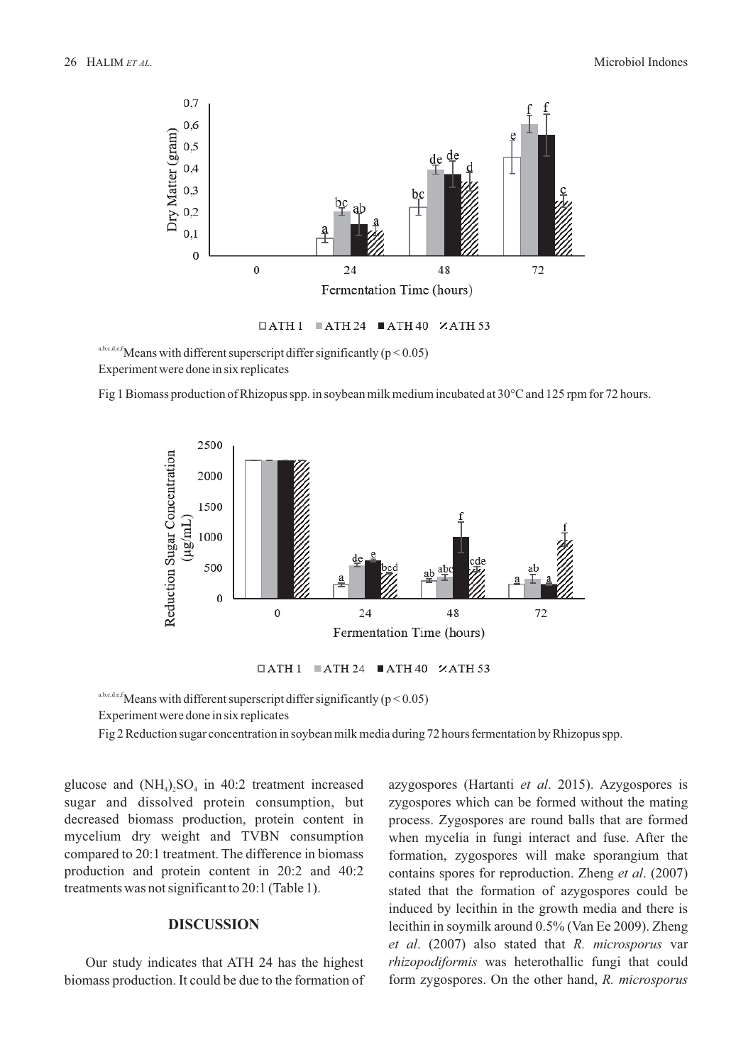

a,b,c,d,e,f</sub>Means with different superscript differ significantly ( $p < 0.05$ ) Experiment were done in six replicates

Fig 1 Biomass production of Rhizopus spp. in soybean milk medium incubated at  $30^{\circ}$ C and 125 rpm for 72 hours.



 $\Box$ ATH 1  $\Box$ ATH 24  $\Box$ ATH 40  $\times$ ATH 53

a,b,c,d,e,f</sub>Means with different superscript differ significantly ( $p < 0.05$ ) Experiment were done in six replicates

Fig 2 Reduction sugar concentration in soybean milk media during 72 hours fermentation by Rhizopus spp.

glucose and  $(NH<sub>4</sub>), SO<sub>4</sub>$  in 40:2 treatment increased sugar and dissolved protein consumption, but decreased biomass production, protein content in mycelium dry weight and TVBN consumption compared to 20:1 treatment. The difference in biomass production and protein content in 20:2 and 40:2 treatments was not significant to 20:1 (Table 1).

## **DISCUSSION**

Our study indicates that ATH 24 has the highest biomass production. It could be due to the formation of

azygospores (Hartanti et al. 2015). Azygospores is zygospores which can be formed without the mating process. Zygospores are round balls that are formed when mycelia in fungi interact and fuse. After the formation, zygospores will make sporangium that contains spores for reproduction. Zheng et al. (2007) stated that the formation of azygospores could be induced by lecithin in the growth media and there is lecithin in soymilk around 0.5% (Van Ee 2009). Zheng *et al.* (2007) also stated that R. microsporus var *rhizopodiformis* was heterothallic fungi that could form zygospores. On the other hand, *R. microsporus*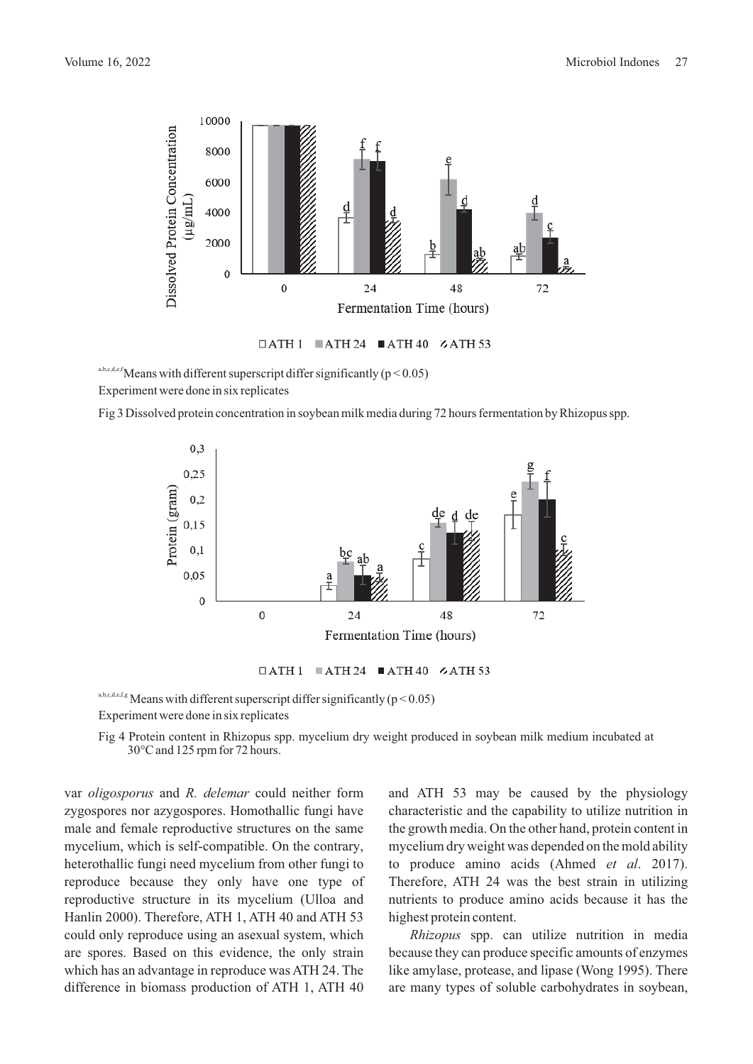

 $\Box$ ATH 1  $\Box$ ATH 24  $\Box$ ATH 40  $\angle$ ATH 53

a,b,c,d,e,f</sub>Means with different superscript differ significantly ( $p < 0.05$ ) Experiment were done in six replicates

Fig 3 Dissolved protein concentration in soybean milk media during 72 hours fermentation by Rhizopus spp.



 $\Box$ ATH 1  $\Box$ ATH 24  $\Box$ ATH 40  $\angle$ ATH 53

a,b,c,d,e,f,g Means with different superscript differ significantly ( $p < 0.05$ ) Experiment were done in six replicates

Fig 4 Protein content in Rhizopus spp. mycelium dry weight produced in soybean milk medium incubated at 30°C and 125 rpm for 72 hours.

var *oligosporus* and *R. delemar* could neither form zygospores nor azygospores. Homothallic fungi have male and female reproductive structures on the same mycelium, which is self-compatible. On the contrary, heterothallic fungi need mycelium from other fungi to reproduce because they only have one type of reproductive structure in its mycelium (Ulloa and Hanlin 2000). Therefore, ATH 1, ATH 40 and ATH 53 could only reproduce using an asexual system, which are spores. Based on this evidence, the only strain which has an advantage in reproduce was ATH 24. The difference in biomass production of ATH 1, ATH 40

and ATH 53 may be caused by the physiology characteristic and the capability to utilize nutrition in the growth media. On the other hand, protein content in mycelium dry weight was depended on the mold ability to produce amino acids (Ahmed *et al.* 2017). Therefore, ATH 24 was the best strain in utilizing nutrients to produce amino acids because it has the highest protein content.

*Rhizopus* spp. can utilize nutrition in media because they can produce specific amounts of enzymes like amylase, protease, and lipase (Wong 1995). There are many types of soluble carbohydrates in soybean,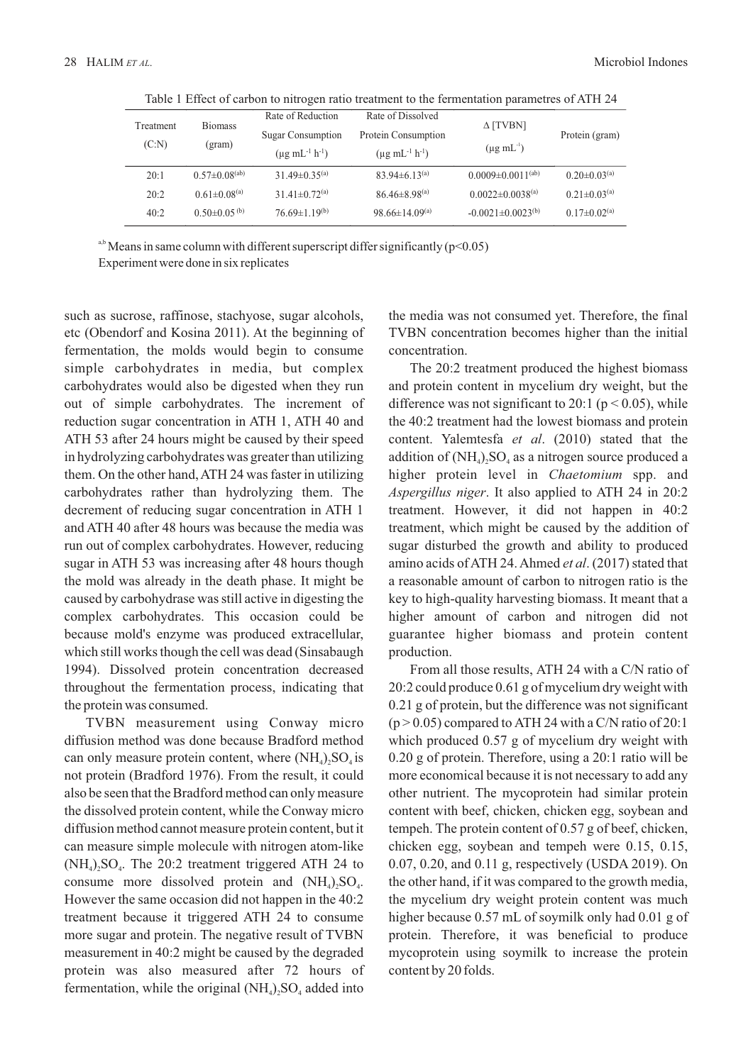| Treatment<br>(C:N) | <b>Biomass</b><br>(gram)       | Rate of Reduction<br><b>Sugar Consumption</b><br>$(\mu g \text{ mL}^{-1} \text{ h}^{-1})$ | Rate of Dissolved<br>Protein Consumption<br>$(\mu g \text{ mL}^{-1} \text{ h}^{-1})$ | $\Delta$ [TVBN]<br>$(\mu g \text{ mL}^{\text{T}})$ | Protein (gram)                 |
|--------------------|--------------------------------|-------------------------------------------------------------------------------------------|--------------------------------------------------------------------------------------|----------------------------------------------------|--------------------------------|
| 20:1               | $0.57\pm0.08^{(ab)}$           | $31.49 \pm 0.35^{(a)}$                                                                    | $83.94\pm 6.13^{(a)}$                                                                | $0.0009 \pm 0.0011^{(ab)}$                         | $0.20 \pm 0.03$ <sup>(a)</sup> |
| 20:2               | $0.61 \pm 0.08$ <sup>(a)</sup> | $31.41 \pm 0.72^{(a)}$                                                                    | $86.46 \pm 8.98^{(a)}$                                                               | $0.0022 \pm 0.0038^{(a)}$                          | $0.21 \pm 0.03$ <sup>(a)</sup> |
| 40:2               | $0.50\pm0.05^{(b)}$            | $76.69 \pm 1.19^{(b)}$                                                                    | 98.66±14.09 <sup>(a)</sup>                                                           | $-0.0021 \pm 0.0023$ <sup>(b)</sup>                | $0.17\pm0.02^{(a)}$            |

Table 1 Effect of carbon to nitrogen ratio treatment to the fermentation parametres of ATH 24

<sup>a,b</sup> Means in same column with different superscript differ significantly ( $p$ <0.05)

Experiment were done in six replicates

such as sucrose, raffinose, stachyose, sugar alcohols, etc (Obendorf and Kosina 2011). At the beginning of fermentation, the molds would begin to consume simple carbohydrates in media, but complex carbohydrates would also be digested when they run out of simple carbohydrates. The increment of reduction sugar concentration in ATH 1, ATH 40 and ATH 53 after 24 hours might be caused by their speed in hydrolyzing carbohydrates was greater than utilizing them. On the other hand,ATH 24 was faster in utilizing carbohydrates rather than hydrolyzing them. The decrement of reducing sugar concentration in ATH 1 and ATH 40 after 48 hours was because the media was run out of complex carbohydrates. However, reducing sugar in ATH 53 was increasing after 48 hours though the mold was already in the death phase. It might be caused by carbohydrase was still active in digesting the complex carbohydrates. This occasion could be because mold's enzyme was produced extracellular, which still works though the cell was dead (Sinsabaugh 1994). Dissolved protein concentration decreased throughout the fermentation process, indicating that the protein was consumed.

TVBN measurement using Conway micro diffusion method was done because Bradford method can only measure protein content, where  $(NH_4)$ ,  $SO_4$  is not protein (Bradford 1976). From the result, it could also be seen that the Bradford method can only measure the dissolved protein content, while the Conway micro diffusion method cannot measure protein content, but it can measure simple molecule with nitrogen atom-like  $(NH<sub>4</sub>)$ , SO<sub>4</sub>. The 20:2 treatment triggered ATH 24 to consume more dissolved protein and  $(NH<sub>a</sub>)$ ,  $SO<sub>a</sub>$ . However the same occasion did not happen in the 40:2 treatment because it triggered ATH 24 to consume more sugar and protein. The negative result of TVBN measurement in 40:2 might be caused by the degraded protein was also measured after 72 hours of fermentation, while the original  $(NH<sub>4</sub>)<sub>2</sub>SO<sub>4</sub>$  added into

the media was not consumed yet. Therefore, the final TVBN concentration becomes higher than the initial concentration.

The 20:2 treatment produced the highest biomass and protein content in mycelium dry weight, but the difference was not significant to 20:1 ( $p < 0.05$ ), while the 40:2 treatment had the lowest biomass and protein content. Yalemtesfa *et al.* (2010) stated that the addition of  $(NH_4)$ ,  $SO_4$  as a nitrogen source produced a higher protein level in *Chaetomium* spp. and *Aspergillus niger*. It also applied to ATH 24 in 20:2 treatment. However, it did not happen in 40:2 treatment, which might be caused by the addition of sugar disturbed the growth and ability to produced amino acids of ATH 24. Ahmed et al. (2017) stated that a reasonable amount of carbon to nitrogen ratio is the key to high-quality harvesting biomass. It meant that a higher amount of carbon and nitrogen did not guarantee higher biomass and protein content production.

From all those results, ATH 24 with a C/N ratio of 20:2 could produce 0.61 g of mycelium dry weight with  $0.21$  g of protein, but the difference was not significant  $(p > 0.05)$  compared to ATH 24 with a C/N ratio of 20:1 which produced  $0.57$  g of mycelium dry weight with  $0.20$  g of protein. Therefore, using a 20:1 ratio will be more economical because it is not necessary to add any other nutrient. The mycoprotein had similar protein content with beef, chicken, chicken egg, soybean and tempeh. The protein content of 0.57 g of beef, chicken, chicken egg, soybean and tempeh were 0.15, 0.15, 0.07, 0.20, and 0.11 g, respectively (USDA 2019). On the other hand, if it was compared to the growth media, the mycelium dry weight protein content was much higher because 0.57 mL of soymilk only had 0.01 g of protein. Therefore, it was beneficial to produce mycoprotein using soymilk to increase the protein content by 20 folds.